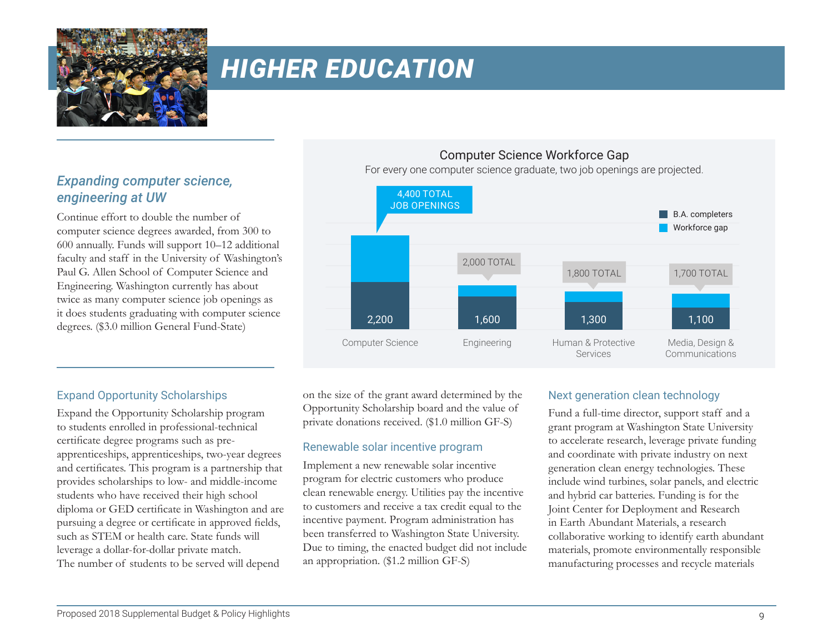

# *HIGHER EDUCATION*

# *Expanding computer science, engineering at UW*

Continue effort to double the number of computer science degrees awarded, from 300 to 600 annually. Funds will support 10–12 additional faculty and staff in the University of Washington's Paul G. Allen School of Computer Science and Engineering. Washington currently has about twice as many computer science job openings as it does students graduating with computer science degrees. (\$3.0 million General Fund-State)

## Computer Science Workforce Gap

For every one computer science graduate, two job openings are projected.



## Expand Opportunity Scholarships

Expand the Opportunity Scholarship program to students enrolled in professional-technical certificate degree programs such as preapprenticeships, apprenticeships, two-year degrees and certificates. This program is a partnership that provides scholarships to low- and middle-income students who have received their high school diploma or GED certificate in Washington and are pursuing a degree or certificate in approved fields, such as STEM or health care. State funds will leverage a dollar-for-dollar private match. The number of students to be served will depend

on the size of the grant award determined by the Opportunity Scholarship board and the value of private donations received. (\$1.0 million GF-S)

## Renewable solar incentive program

Implement a new renewable solar incentive program for electric customers who produce clean renewable energy. Utilities pay the incentive to customers and receive a tax credit equal to the incentive payment. Program administration has been transferred to Washington State University. Due to timing, the enacted budget did not include an appropriation. (\$1.2 million GF-S)

## Next generation clean technology

Fund a full-time director, support staff and a grant program at Washington State University to accelerate research, leverage private funding and coordinate with private industry on next generation clean energy technologies. These include wind turbines, solar panels, and electric and hybrid car batteries. Funding is for the Joint Center for Deployment and Research in Earth Abundant Materials, a research collaborative working to identify earth abundant materials, promote environmentally responsible manufacturing processes and recycle materials